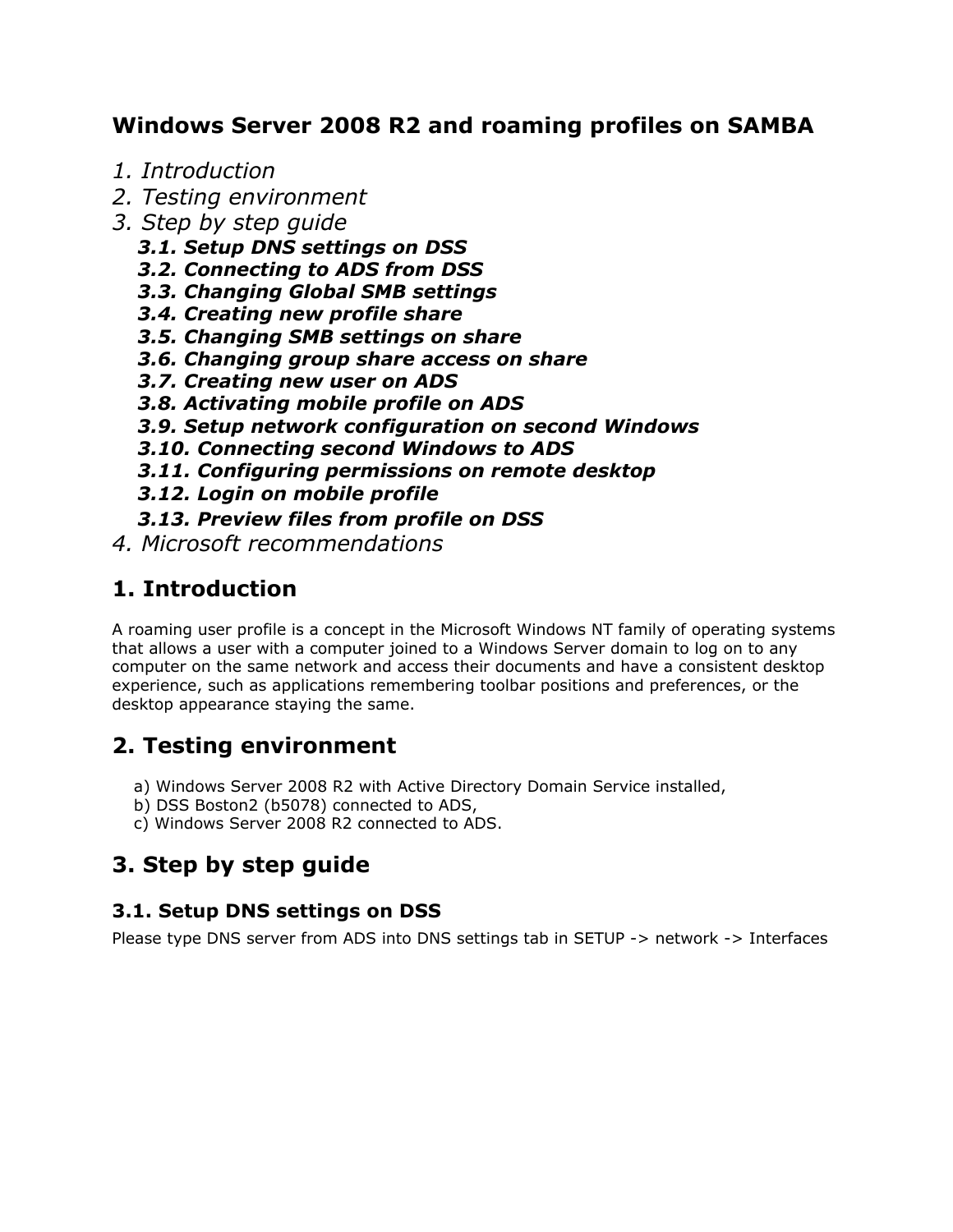## **Windows Server 2008 R2 and roaming profiles on SAMBA**

- *1. Introduction*
- *2. Testing environment*
- *3. Step by step guide*
	- *3.1. Setup DNS settings on DSS*
	- *3.2. Connecting to ADS from DSS*
	- *3.3. Changing Global SMB settings*
	- *3.4. Creating new profile share*
	- *3.5. Changing SMB settings on share*
	- *3.6. Changing group share access on share*
	- *3.7. Creating new user on ADS*
	- *3.8. Activating mobile profile on ADS*
	- *3.9. Setup network configuration on second Windows*
	- *3.10. Connecting second Windows to ADS*
	- *3.11. Configuring permissions on remote desktop*
	- *3.12. Login on mobile profile*
	- *3.13. Preview files from profile on DSS*
- *4. Microsoft recommendations*

## **1. Introduction**

A roaming user profile is a concept in the Microsoft Windows NT family of operating systems that allows a user with a computer joined to a Windows Server domain to log on to any computer on the same network and access their documents and have a consistent desktop experience, such as applications remembering toolbar positions and preferences, or the desktop appearance staying the same.

## **2. Testing environment**

- a) Windows Server 2008 R2 with Active Directory Domain Service installed,
- b) DSS Boston2 (b5078) connected to ADS,
- c) Windows Server 2008 R2 connected to ADS.

# **3. Step by step guide**

## **3.1. Setup DNS settings on DSS**

Please type DNS server from ADS into DNS settings tab in SETUP -> network -> Interfaces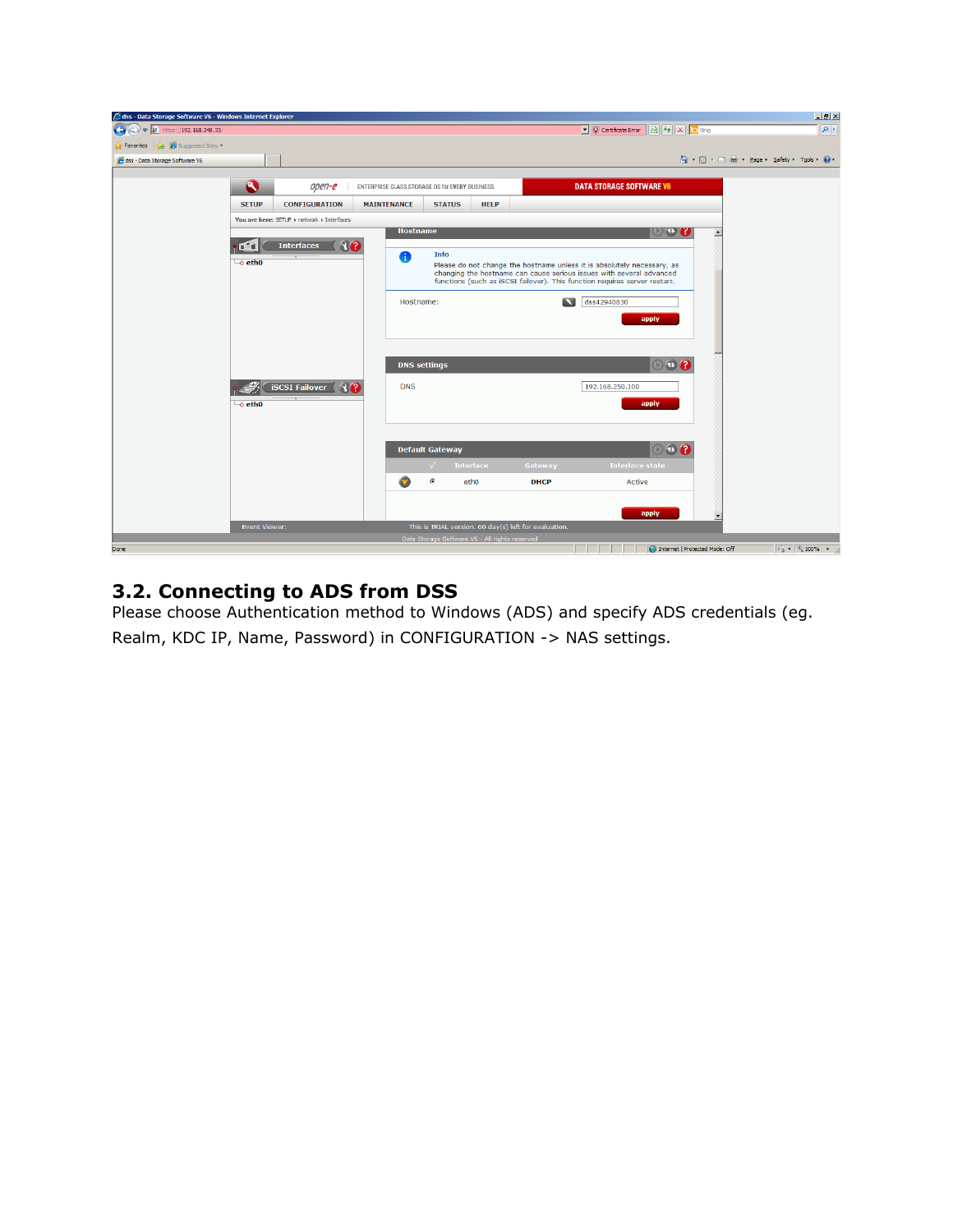| @dss - Data Storage Software V6 - Windows Internet Explorer |                                 |                                            |                                                |                        |                                                |                                                       |                                                                                                                                                    |                  | $-12$                                          |
|-------------------------------------------------------------|---------------------------------|--------------------------------------------|------------------------------------------------|------------------------|------------------------------------------------|-------------------------------------------------------|----------------------------------------------------------------------------------------------------------------------------------------------------|------------------|------------------------------------------------|
| $\left($<br>$\bullet$ $\epsilon$ https://192.168.248.33/    |                                 |                                            |                                                |                        |                                                |                                                       | C Certificate Error & + X C Bing                                                                                                                   |                  | $\rho$ .                                       |
| Suggested Sites<br><b>Favorites</b>                         |                                 |                                            |                                                |                        |                                                |                                                       |                                                                                                                                                    |                  |                                                |
| dss - Data Storage Software V6                              |                                 |                                            |                                                |                        |                                                |                                                       |                                                                                                                                                    |                  | 个 同 · □ 典 · Page · Safety · Tools · ② ·        |
|                                                             |                                 |                                            |                                                |                        |                                                |                                                       |                                                                                                                                                    |                  |                                                |
|                                                             | $\bullet$                       | open-e                                     | ENTERPRISE CLASS STORAGE OS for EVERY BUSINESS |                        |                                                |                                                       | <b>DATA STORAGE SOFTWARE V6</b>                                                                                                                    |                  |                                                |
|                                                             | <b>SETUP</b>                    | <b>CONFIGURATION</b>                       | <b>MAINTENANCE</b>                             | <b>STATUS</b>          | <b>HELP</b>                                    |                                                       |                                                                                                                                                    |                  |                                                |
|                                                             |                                 | You are here: SETUP > network > Interfaces |                                                |                        |                                                |                                                       |                                                                                                                                                    |                  |                                                |
|                                                             |                                 |                                            | <b>Hostname</b>                                |                        |                                                |                                                       | $\mathbb{C}$ $\omega$ $\mathbb{C}$                                                                                                                 | $\blacktriangle$ |                                                |
|                                                             | œ                               | 80<br><b>Interfaces</b>                    |                                                | Info                   |                                                |                                                       |                                                                                                                                                    |                  |                                                |
|                                                             | $\overline{\phantom{a}}$ o eth0 |                                            | A                                              |                        |                                                |                                                       | Please do not change the hostname unless it is absolutely necessary, as                                                                            |                  |                                                |
|                                                             |                                 |                                            |                                                |                        |                                                |                                                       | changing the hostname can cause serious issues with several advanced<br>functions (such as iSCSI failover). This function requires server restart. |                  |                                                |
|                                                             |                                 |                                            |                                                |                        |                                                |                                                       |                                                                                                                                                    |                  |                                                |
|                                                             |                                 |                                            | Hostname:                                      |                        |                                                | B                                                     | dss42940830                                                                                                                                        |                  |                                                |
|                                                             |                                 |                                            |                                                |                        |                                                |                                                       | apply                                                                                                                                              |                  |                                                |
|                                                             |                                 |                                            |                                                |                        |                                                |                                                       |                                                                                                                                                    |                  |                                                |
|                                                             |                                 |                                            |                                                |                        |                                                |                                                       |                                                                                                                                                    |                  |                                                |
|                                                             |                                 |                                            |                                                | <b>DNS</b> settings    |                                                |                                                       | $\circ$ $\circ$ $\circ$                                                                                                                            |                  |                                                |
|                                                             |                                 | <b>iSCSI Failover</b><br>R                 | <b>DNS</b>                                     |                        |                                                |                                                       | 192.168.250.100                                                                                                                                    |                  |                                                |
|                                                             | └o eth0                         |                                            |                                                |                        |                                                |                                                       | apply                                                                                                                                              |                  |                                                |
|                                                             |                                 |                                            |                                                |                        |                                                |                                                       |                                                                                                                                                    |                  |                                                |
|                                                             |                                 |                                            |                                                |                        |                                                |                                                       |                                                                                                                                                    |                  |                                                |
|                                                             |                                 |                                            |                                                | <b>Default Gateway</b> |                                                |                                                       | $\circ$ $\circ$ $\circ$                                                                                                                            |                  |                                                |
|                                                             |                                 |                                            |                                                | $\sqrt{ }$             | <b>Interface</b>                               | Gateway                                               | <b>Interface state</b>                                                                                                                             |                  |                                                |
|                                                             |                                 |                                            |                                                |                        |                                                |                                                       |                                                                                                                                                    |                  |                                                |
|                                                             |                                 |                                            | G                                              | $\rm G$                | etho                                           | <b>DHCP</b>                                           | Active                                                                                                                                             |                  |                                                |
|                                                             |                                 |                                            |                                                |                        |                                                |                                                       |                                                                                                                                                    |                  |                                                |
|                                                             |                                 |                                            |                                                |                        |                                                |                                                       | apply                                                                                                                                              |                  |                                                |
|                                                             | Event Viewer:                   |                                            |                                                |                        | Data Storage Software V6 - All rights reserved | This is TRIAL version. 60 day(s) left for evaluation. |                                                                                                                                                    |                  |                                                |
| Done                                                        |                                 |                                            |                                                |                        |                                                |                                                       | Internet   Protected Mode: Off                                                                                                                     |                  | $\frac{1}{2}$ $\frac{1}{2}$ $\frac{1}{2}$ 100% |

#### **3.2. Connecting to ADS from DSS**

Please choose Authentication method to Windows (ADS) and specify ADS credentials (eg. Realm, KDC IP, Name, Password) in CONFIGURATION -> NAS settings.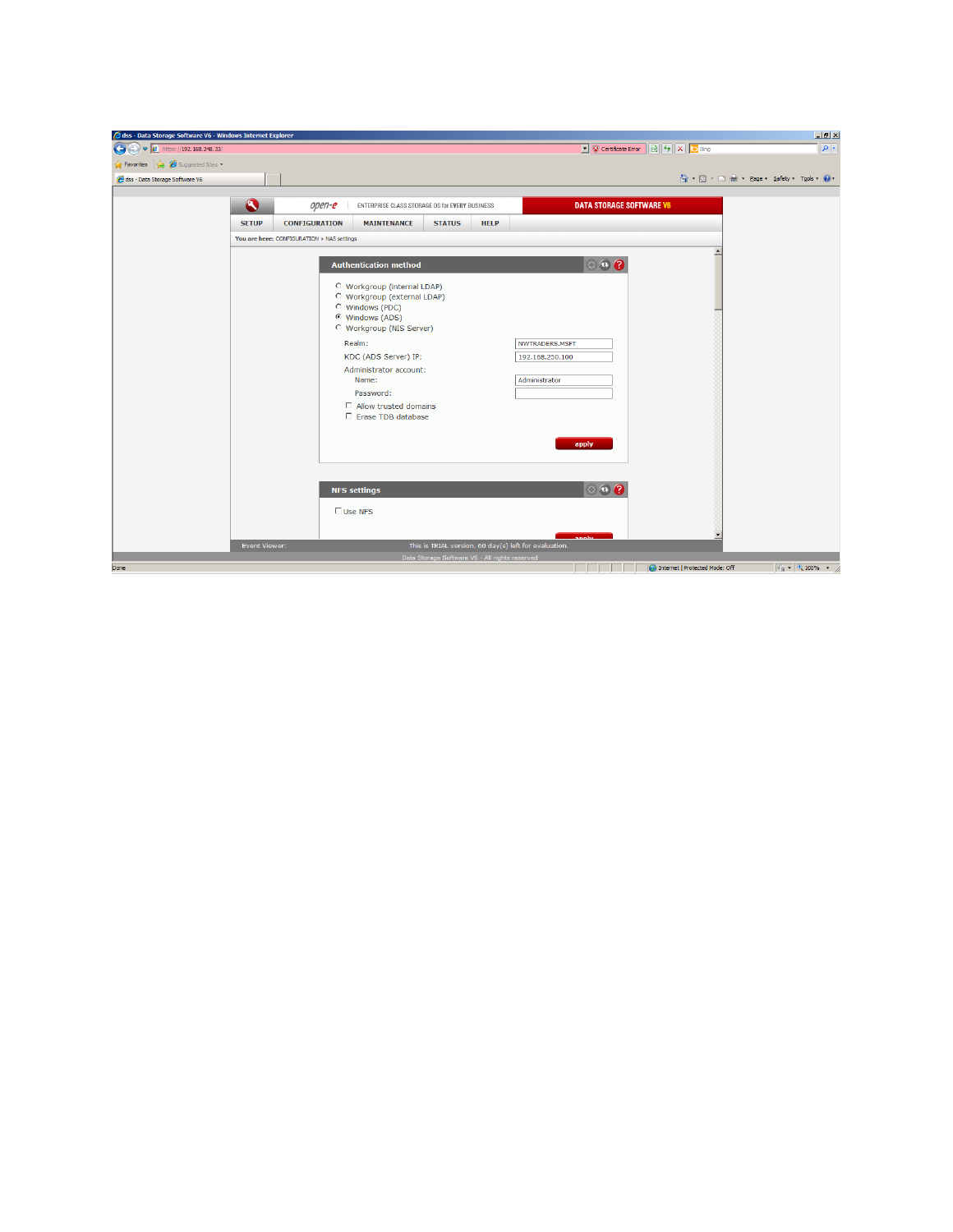| dss - Data Storage Software V6 - Windows Internet Explorer |               |                                            |                                                                                                                                                |                                                |             |                                                                |                                  | $-17 \times$                                    |
|------------------------------------------------------------|---------------|--------------------------------------------|------------------------------------------------------------------------------------------------------------------------------------------------|------------------------------------------------|-------------|----------------------------------------------------------------|----------------------------------|-------------------------------------------------|
| $\bullet$<br>$\bullet$ $\epsilon$ https://192.168.248.33/  |               |                                            |                                                                                                                                                |                                                |             |                                                                | C Certificate Error & + X C Bing | $\boxed{\rho}$ .                                |
| Suggested Sites<br><b>Favorites</b>                        |               |                                            |                                                                                                                                                |                                                |             |                                                                |                                  |                                                 |
| dss - Data Storage Software V6                             |               |                                            |                                                                                                                                                |                                                |             |                                                                |                                  | A → 同 → 曰 — → Page + Safety + Tools + ● +       |
|                                                            |               |                                            |                                                                                                                                                |                                                |             |                                                                |                                  |                                                 |
|                                                            | $\bullet$     | open-e                                     | ENTERPRISE CLASS STORAGE OS for EVERY BUSINESS                                                                                                 |                                                |             | <b>DATA STORAGE SOFTWARE V6</b>                                |                                  |                                                 |
|                                                            | <b>SETUP</b>  | <b>CONFIGURATION</b>                       | <b>MAINTENANCE</b>                                                                                                                             | <b>STATUS</b>                                  | <b>HELP</b> |                                                                |                                  |                                                 |
|                                                            |               | You are here: CONFIGURATION > NAS settings |                                                                                                                                                |                                                |             |                                                                |                                  |                                                 |
|                                                            |               |                                            | <b>Authentication method</b>                                                                                                                   |                                                |             | $\odot$ $\odot$ $\odot$                                        |                                  |                                                 |
|                                                            |               |                                            | O Workgroup (internal LDAP)<br><sup>C</sup> Workgroup (external LDAP)<br>C Windows (PDC)<br>© Windows (ADS)<br><b>C</b> Workgroup (NIS Server) |                                                |             |                                                                |                                  |                                                 |
|                                                            |               |                                            | Realm:<br>KDC (ADS Server) IP:                                                                                                                 |                                                |             | NWTRADERS.MSFT<br>192.168.250.100                              |                                  |                                                 |
|                                                            |               |                                            | Administrator account:<br>Name:<br>Password:                                                                                                   |                                                |             | Administrator                                                  |                                  |                                                 |
|                                                            |               |                                            | $\Box$ Allow trusted domains<br>□ Erase TDB database                                                                                           |                                                |             |                                                                |                                  |                                                 |
|                                                            |               |                                            |                                                                                                                                                |                                                |             | apply                                                          |                                  |                                                 |
|                                                            |               |                                            | <b>NFS settings</b>                                                                                                                            |                                                |             | $\circ \bullet$                                                |                                  |                                                 |
|                                                            |               |                                            | $\Box$ Use NFS                                                                                                                                 |                                                |             |                                                                |                                  |                                                 |
|                                                            | Event Viewer: |                                            |                                                                                                                                                |                                                |             | annhe<br>This is TRIAL version. 60 day(s) left for evaluation. |                                  |                                                 |
|                                                            |               |                                            |                                                                                                                                                | Data Storage Software V6 - All rights reserved |             |                                                                |                                  |                                                 |
| Done                                                       |               |                                            |                                                                                                                                                |                                                |             | and the state of the state                                     | Internet   Protected Mode: Off   | $\sqrt{2}$ $\sqrt{2}$ $\sqrt{100\%}$ $\sqrt{2}$ |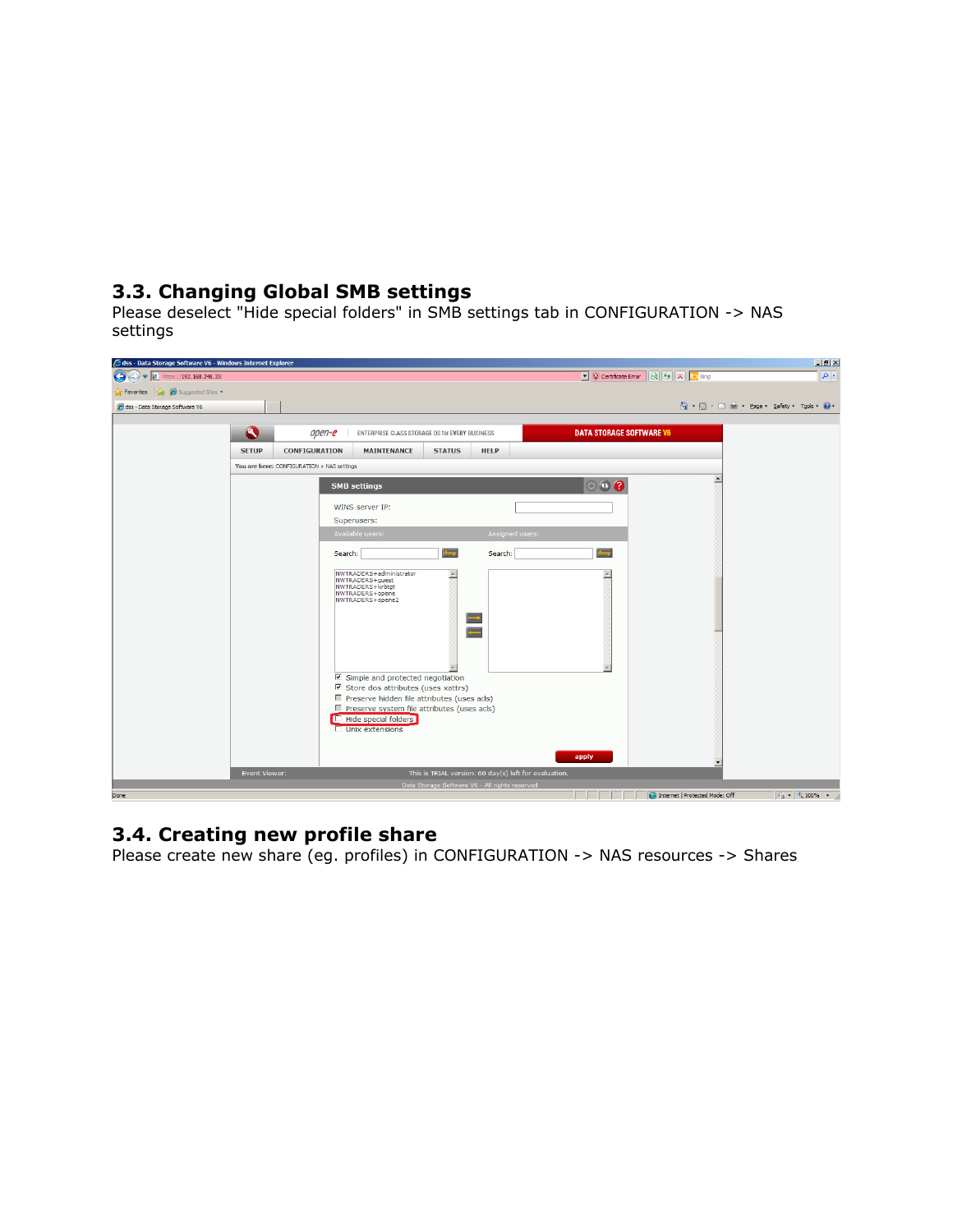## **3.3. Changing Global SMB settings**

Please deselect "Hide special folders" in SMB settings tab in CONFIGURATION -> NAS settings

| 3 dss - Data Storage Software V6 - Windows Internet Explorer |               |                                                                                                                                                                                                                                                                                                                                                                                        | $-17 \times$                                                            |
|--------------------------------------------------------------|---------------|----------------------------------------------------------------------------------------------------------------------------------------------------------------------------------------------------------------------------------------------------------------------------------------------------------------------------------------------------------------------------------------|-------------------------------------------------------------------------|
| $\left($<br>$\bullet$ $\bullet$ https://192.168.248.33/      |               |                                                                                                                                                                                                                                                                                                                                                                                        | $\boxed{\rho}$ .<br>C Certificate Error & + X D Bing                    |
| <b>Pravorites</b> Suggested Sites                            |               |                                                                                                                                                                                                                                                                                                                                                                                        |                                                                         |
| dss - Data Storage Software V6                               |               |                                                                                                                                                                                                                                                                                                                                                                                        | A → 同 → 三 — → Page → Safety → Tools → ● →                               |
|                                                              |               |                                                                                                                                                                                                                                                                                                                                                                                        |                                                                         |
|                                                              | $\bullet$     | <b>DATA STORAGE SOFTWARE V6</b><br>open-e<br>ENTERPRISE CLASS STORAGE OS for EVERY BUSINESS                                                                                                                                                                                                                                                                                            |                                                                         |
|                                                              | <b>SETUP</b>  | <b>CONFIGURATION</b><br><b>MAINTENANCE</b><br><b>STATUS</b><br><b>HELP</b>                                                                                                                                                                                                                                                                                                             |                                                                         |
|                                                              |               | You are here: CONFIGURATION > NAS settings                                                                                                                                                                                                                                                                                                                                             |                                                                         |
|                                                              |               | $\odot$ $\odot$ $\odot$<br><b>SMB settings</b>                                                                                                                                                                                                                                                                                                                                         |                                                                         |
|                                                              |               |                                                                                                                                                                                                                                                                                                                                                                                        |                                                                         |
|                                                              |               | WINS server IP:                                                                                                                                                                                                                                                                                                                                                                        |                                                                         |
|                                                              |               | Superusers:<br>Available users:                                                                                                                                                                                                                                                                                                                                                        |                                                                         |
|                                                              |               | Assigned users:                                                                                                                                                                                                                                                                                                                                                                        |                                                                         |
|                                                              |               | ▄<br>$\equiv$<br>Search:<br>Search:                                                                                                                                                                                                                                                                                                                                                    |                                                                         |
|                                                              |               | NWTRADERS+administrator<br>A<br>NWTRADERS+guest<br>NWTRADERS+krbtgt<br>NWTRADERS+opene<br>NWTRADERS+opene2<br>∍<br>z.<br>$\nabla$ Simple and protected negotiation<br>$\nabla$ Store dos attributes (uses xattrs)<br>■ Preserve hidden file attributes (uses acls)<br>Preserve system file attributes (uses acls)<br><b>TE</b> Hide special folders<br>$\Box$ Unix extensions<br>apply |                                                                         |
|                                                              | Event Viewer: | This is TRIAL version. 60 day(s) left for evaluation.                                                                                                                                                                                                                                                                                                                                  |                                                                         |
|                                                              |               | Data Storage Software V6 - All rights reserved                                                                                                                                                                                                                                                                                                                                         |                                                                         |
| Done                                                         |               |                                                                                                                                                                                                                                                                                                                                                                                        | $\sqrt{2}$ $\sqrt{4}$ 100% $\sqrt{2}$<br>Internet   Protected Mode: Off |

#### **3.4. Creating new profile share**

Please create new share (eg. profiles) in CONFIGURATION -> NAS resources -> Shares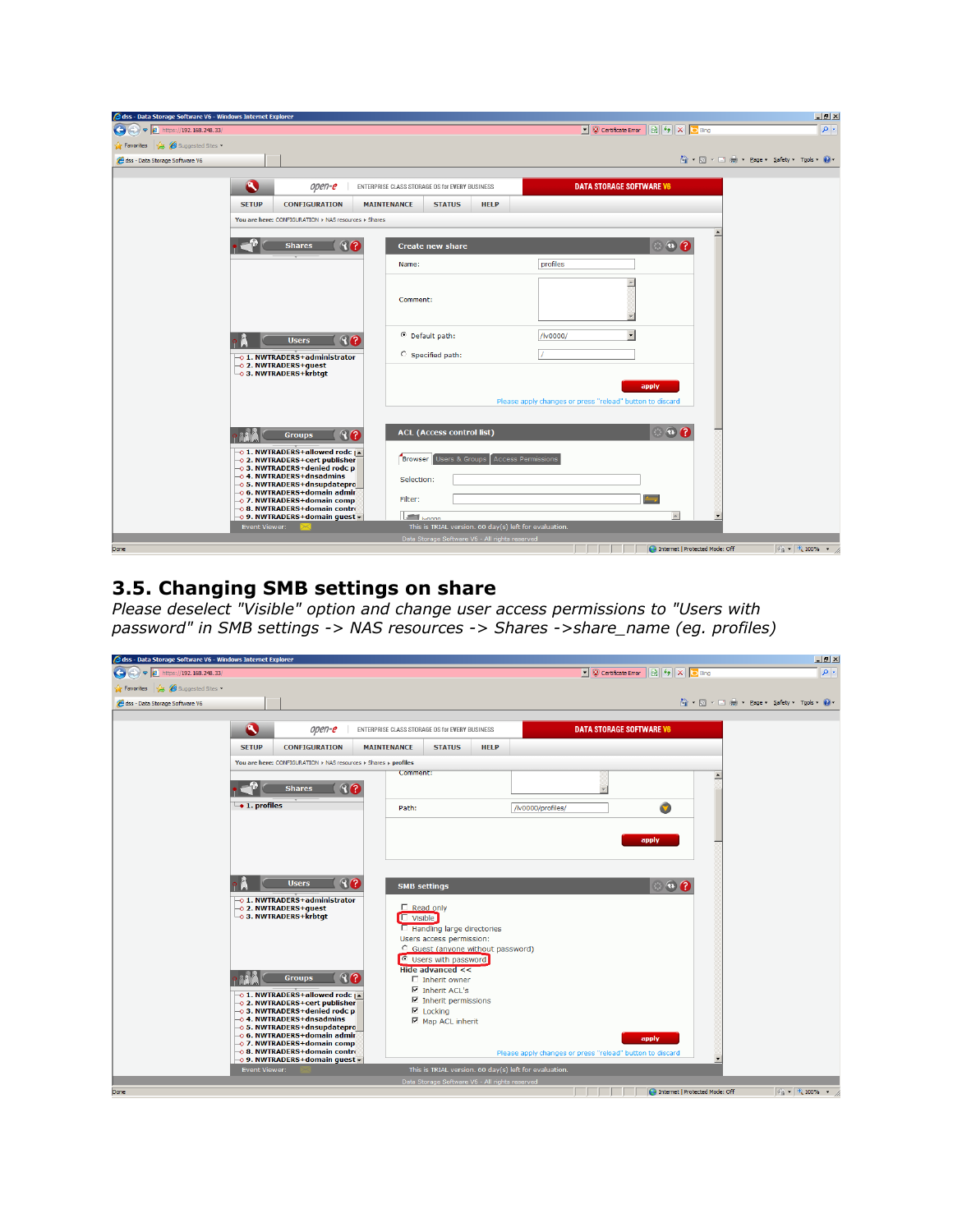| dss - Data Storage Software V6 - Windows Internet Explorer |               |                                                                      |                                                |                                                |             |                                                          |                                  |                                         | $-10 \times$                                   |
|------------------------------------------------------------|---------------|----------------------------------------------------------------------|------------------------------------------------|------------------------------------------------|-------------|----------------------------------------------------------|----------------------------------|-----------------------------------------|------------------------------------------------|
| $\left($<br>$\triangledown$   https://192.168.248.33/      |               |                                                                      |                                                |                                                |             |                                                          | C Certificate Error & 4 X C Bing |                                         | $\rho$ .                                       |
| Suggested Sites<br>Favorites                               |               |                                                                      |                                                |                                                |             |                                                          |                                  |                                         |                                                |
| dss - Data Storage Software V6                             |               |                                                                      |                                                |                                                |             |                                                          |                                  | 个 同 · 曰 典 · Page · Safety · Tools · ② · |                                                |
|                                                            |               |                                                                      |                                                |                                                |             |                                                          |                                  |                                         |                                                |
|                                                            | B             | open-e                                                               | ENTERPRISE CLASS STORAGE OS for EVERY BUSINESS |                                                |             | <b>DATA STORAGE SOFTWARE V6</b>                          |                                  |                                         |                                                |
|                                                            | <b>SETUP</b>  | <b>CONFIGURATION</b>                                                 | <b>MAINTENANCE</b>                             | <b>STATUS</b>                                  | <b>HELP</b> |                                                          |                                  |                                         |                                                |
|                                                            |               | You are here: CONFIGURATION > NAS resources > Shares                 |                                                |                                                |             |                                                          |                                  |                                         |                                                |
|                                                            |               |                                                                      |                                                |                                                |             |                                                          |                                  |                                         |                                                |
|                                                            |               | 80<br><b>Shares</b>                                                  |                                                | <b>Create new share</b>                        |             |                                                          | $\bullet$ $\bullet$              |                                         |                                                |
|                                                            |               |                                                                      | Name:                                          |                                                |             | profiles                                                 |                                  |                                         |                                                |
|                                                            |               |                                                                      |                                                |                                                |             |                                                          |                                  |                                         |                                                |
|                                                            |               |                                                                      | Comment:                                       |                                                |             |                                                          |                                  |                                         |                                                |
|                                                            |               |                                                                      |                                                |                                                |             |                                                          |                                  |                                         |                                                |
|                                                            |               |                                                                      |                                                |                                                |             |                                                          |                                  |                                         |                                                |
|                                                            |               | 80<br><b>Users</b>                                                   |                                                | <sup>©</sup> Default path:                     |             | /lv0000/                                                 |                                  |                                         |                                                |
|                                                            |               | -0 1. NWTRADERS+administrator                                        |                                                | C Specified path:                              |             |                                                          |                                  |                                         |                                                |
|                                                            |               | → 2. NWTRADERS+quest<br>$\overline{\phantom{a}}$ 3. NWTRADERS+krbtqt |                                                |                                                |             |                                                          |                                  |                                         |                                                |
|                                                            |               |                                                                      |                                                |                                                |             |                                                          | apply                            |                                         |                                                |
|                                                            |               |                                                                      |                                                |                                                |             | Please apply changes or press "reload" button to discard |                                  |                                         |                                                |
|                                                            |               |                                                                      |                                                |                                                |             |                                                          |                                  |                                         |                                                |
|                                                            |               | 80<br><b>Groups</b>                                                  |                                                | <b>ACL</b> (Access control list)               |             |                                                          | $\circ$ $\circ$ $\circ$          |                                         |                                                |
|                                                            |               | -o 1. NWTRADERS+allowed rodc   ▲                                     |                                                |                                                |             |                                                          |                                  |                                         |                                                |
|                                                            |               | -0 2. NWTRADERS+cert publisher<br>03. NWTRADERS+denied rodc p        | Browser                                        | <b>Users &amp; Groups</b>                      |             | <b>Access Permissions</b>                                |                                  |                                         |                                                |
|                                                            |               | $\rightarrow$ 4. NWTRADERS+dnsadmins<br>0 5. NWTRADERS+dnsupdatepro  |                                                | Selection:                                     |             |                                                          |                                  |                                         |                                                |
|                                                            |               | → 6. NWTRADERS+domain admir<br>-0 7. NWTRADERS+domain comp           | Filter:                                        |                                                |             |                                                          |                                  |                                         |                                                |
|                                                            |               | -© 8. NWTRADERS+domain contro<br>-0 9. NWTRADERS+domain quest -      |                                                | <b>Common</b>                                  |             |                                                          | $\Delta$                         |                                         |                                                |
|                                                            | Event Viewer: |                                                                      |                                                |                                                |             | This is TRIAL version. 60 day(s) left for evaluation.    |                                  |                                         |                                                |
|                                                            |               |                                                                      |                                                | Data Storage Software V6 - All rights reserved |             |                                                          |                                  |                                         |                                                |
| Done                                                       |               |                                                                      |                                                |                                                |             |                                                          | Internet   Protected Mode: Off   |                                         | $\frac{1}{2}$ $\frac{1}{2}$ 100% $\frac{1}{2}$ |

#### **3.5. Changing SMB settings on share**

*Please deselect "Visible" option and change user access permissions to "Users with password" in SMB settings -> NAS resources -> Shares ->share\_name (eg. profiles)*

| 3 dss - Data Storage Software V6 - Windows Internet Explorer |                                      |                                                                                                                                                                                                                                                                                                        |                                                |                                                                                                                                                                                                                                                      |             |                                                          |                                                                              |                                | $-17 \times$                                |
|--------------------------------------------------------------|--------------------------------------|--------------------------------------------------------------------------------------------------------------------------------------------------------------------------------------------------------------------------------------------------------------------------------------------------------|------------------------------------------------|------------------------------------------------------------------------------------------------------------------------------------------------------------------------------------------------------------------------------------------------------|-------------|----------------------------------------------------------|------------------------------------------------------------------------------|--------------------------------|---------------------------------------------|
| <sup>2</sup> https://192.168.248.33/<br>K.                   |                                      |                                                                                                                                                                                                                                                                                                        |                                                |                                                                                                                                                                                                                                                      |             |                                                          | $\frac{1}{2}$ $\frac{1}{2}$ $\times$ $\frac{1}{2}$ Bing<br>Certificate Error |                                | $\rho$ .                                    |
| Suggested Sites<br><b>Favorites</b>                          |                                      |                                                                                                                                                                                                                                                                                                        |                                                |                                                                                                                                                                                                                                                      |             |                                                          |                                                                              |                                |                                             |
| dss - Data Storage Software V6                               |                                      |                                                                                                                                                                                                                                                                                                        |                                                |                                                                                                                                                                                                                                                      |             |                                                          |                                                                              |                                | A → 同 → □ 碘 → Page → Safety → Tools → ② →   |
|                                                              |                                      |                                                                                                                                                                                                                                                                                                        |                                                |                                                                                                                                                                                                                                                      |             |                                                          |                                                                              |                                |                                             |
|                                                              | $\bullet$                            | open-e                                                                                                                                                                                                                                                                                                 | ENTERPRISE CLASS STORAGE OS for EVERY BUSINESS |                                                                                                                                                                                                                                                      |             |                                                          | <b>DATA STORAGE SOFTWARE V6</b>                                              |                                |                                             |
|                                                              | <b>SETUP</b>                         | <b>CONFIGURATION</b>                                                                                                                                                                                                                                                                                   | <b>MAINTENANCE</b>                             | <b>STATUS</b>                                                                                                                                                                                                                                        | <b>HELP</b> |                                                          |                                                                              |                                |                                             |
|                                                              |                                      | You are here: CONFIGURATION > NAS resources > Shares > profiles                                                                                                                                                                                                                                        |                                                |                                                                                                                                                                                                                                                      |             |                                                          |                                                                              |                                |                                             |
|                                                              | $\overline{\phantom{a}}$ 1. profiles | 80<br><b>Shares</b><br>80<br><b>Users</b><br>-0 1. NWTRADERS+administrator<br>$-0$ 2. NWTRADERS+quest<br>$\overline{\phantom{a}}$ 3. NWTRADERS+krbtqt<br>80<br><b>Groups</b>                                                                                                                           | Comment:<br>Path:<br><b>L</b> Visible          | <b>SMB settings</b><br>$Read$ only<br><b>E</b> Handling large directories<br>Users access permission:<br>C_Guest (anyone without password)<br><sup>©</sup> Users with password<br>Hide advanced <<<br>$\Box$ Inherit owner<br>$\nabla$ Inherit ACL's |             | /lv0000/profiles/                                        | Q<br>apply<br>$\circ$ $\circ$ $\circ$                                        |                                |                                             |
|                                                              |                                      | –⊙ 1. NWTRADERS+allowed rodc <sub>  ▲</sub><br>0 2. NWTRADERS+cert publisher<br>→ 3. NWTRADERS+denied rodc p<br>04. NWTRADERS+dnsadmins<br>05. NWTRADERS+dnsupdatepro<br>- 6. NWTRADERS+domain admir<br>-0 7. NWTRADERS+domain comp<br>-0 8. NWTRADERS+domain contro<br>-0 9. NWTRADERS+domain quest - |                                                | $\nabla$ Inherit permissions<br>$\nabla$ Locking<br>Map ACL inherit                                                                                                                                                                                  |             | Please apply changes or press "reload" button to discard | apply                                                                        |                                |                                             |
|                                                              | Event Viewer:                        |                                                                                                                                                                                                                                                                                                        |                                                | This is TRIAL version. 60 day(s) left for evaluation.                                                                                                                                                                                                |             |                                                          |                                                                              |                                |                                             |
| Done                                                         |                                      |                                                                                                                                                                                                                                                                                                        |                                                | Data Storage Software V6 - All rights reserved                                                                                                                                                                                                       |             |                                                          |                                                                              | Internet   Protected Mode: Off | $\sqrt{2}$ $\sqrt{2}$ $\sqrt{2}$ $\sqrt{2}$ |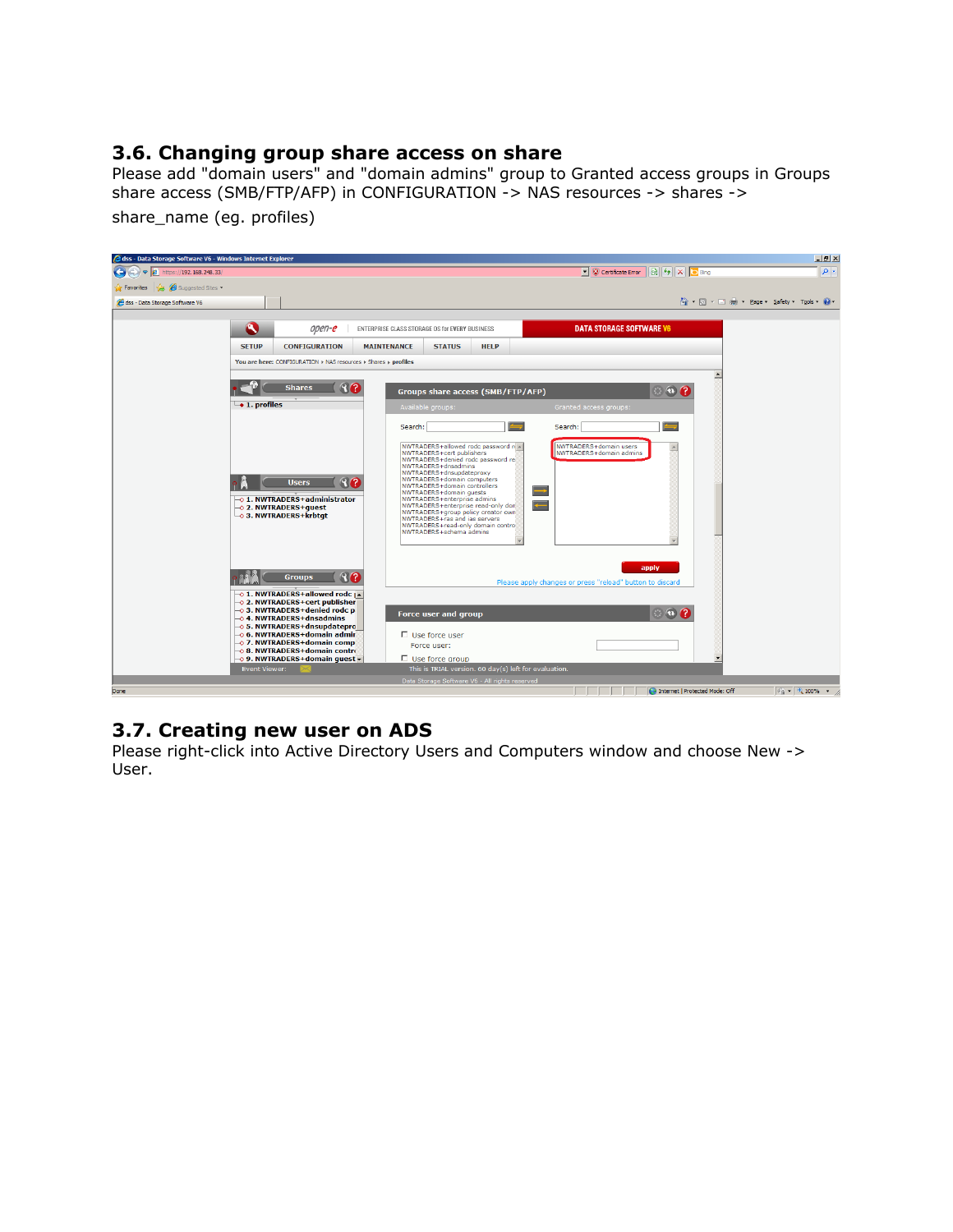#### **3.6. Changing group share access on share**

Please add "domain users" and "domain admins" group to Granted access groups in Groups share access (SMB/FTP/AFP) in CONFIGURATION -> NAS resources -> shares -> share name (eg. profiles)



#### **3.7. Creating new user on ADS**

Please right-click into Active Directory Users and Computers window and choose New -> User.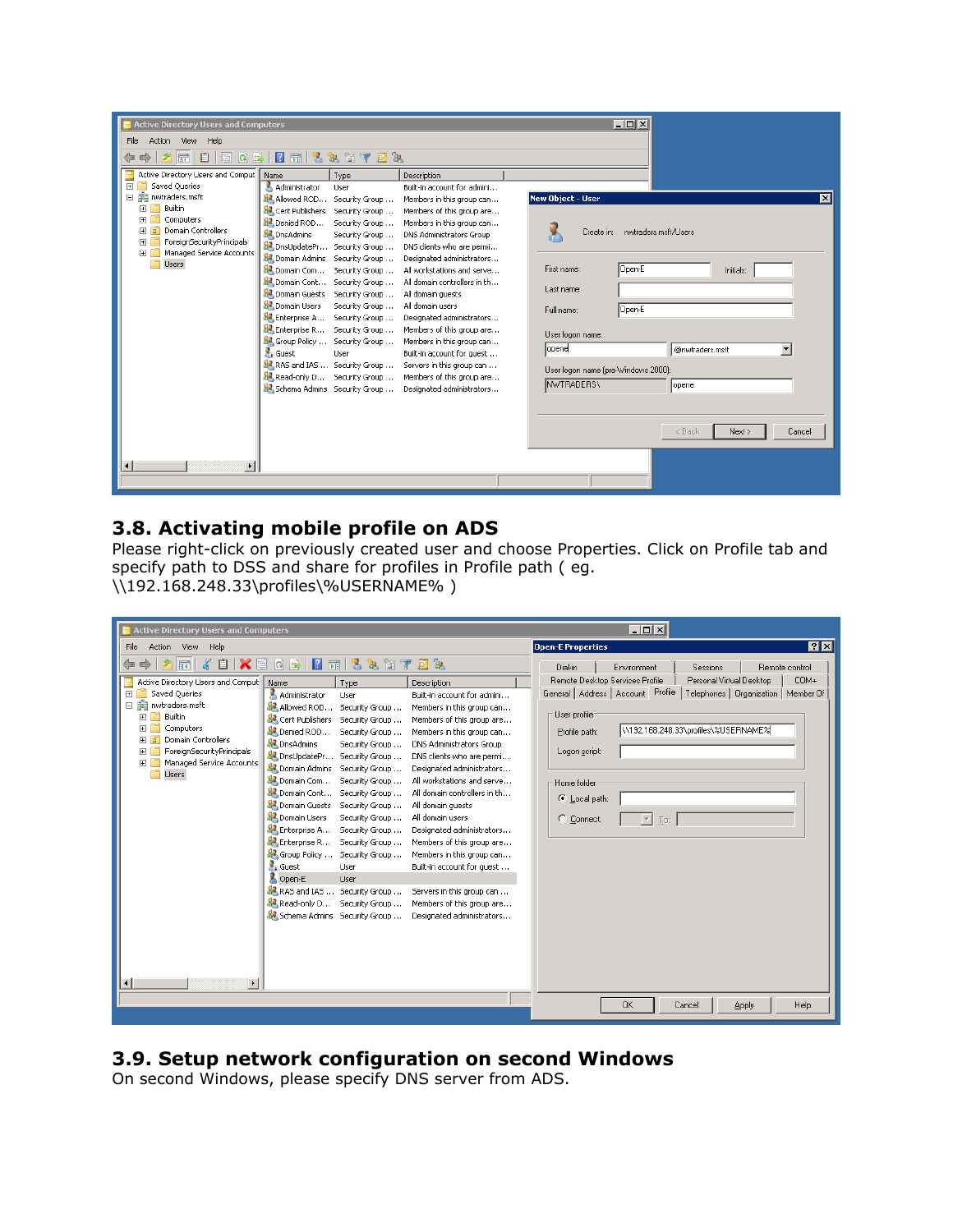| <b>Active Directory Users and Computers</b>                                                                                                                                                                                                                                                                            |                                                                                                                                                                                                                                                                                                                                                                                                                                                                                                                                                                                                                                        |                                                                                                                                                                                                                                                                                                                                                                                                                                                                                                                                            | $ \Box$ $\times$                                                                                                                                                    |                                                                                                                  |
|------------------------------------------------------------------------------------------------------------------------------------------------------------------------------------------------------------------------------------------------------------------------------------------------------------------------|----------------------------------------------------------------------------------------------------------------------------------------------------------------------------------------------------------------------------------------------------------------------------------------------------------------------------------------------------------------------------------------------------------------------------------------------------------------------------------------------------------------------------------------------------------------------------------------------------------------------------------------|--------------------------------------------------------------------------------------------------------------------------------------------------------------------------------------------------------------------------------------------------------------------------------------------------------------------------------------------------------------------------------------------------------------------------------------------------------------------------------------------------------------------------------------------|---------------------------------------------------------------------------------------------------------------------------------------------------------------------|------------------------------------------------------------------------------------------------------------------|
| File Action View Help                                                                                                                                                                                                                                                                                                  |                                                                                                                                                                                                                                                                                                                                                                                                                                                                                                                                                                                                                                        |                                                                                                                                                                                                                                                                                                                                                                                                                                                                                                                                            |                                                                                                                                                                     |                                                                                                                  |
| 目<br>請<br>E<br><b>Q</b> ⇒<br>⇔ ⊜                                                                                                                                                                                                                                                                                       | à H 7<br>$\vert$ 2<br>眾<br>回 貌<br>٦                                                                                                                                                                                                                                                                                                                                                                                                                                                                                                                                                                                                    |                                                                                                                                                                                                                                                                                                                                                                                                                                                                                                                                            |                                                                                                                                                                     |                                                                                                                  |
| Active Directory Users and Comput<br>Saved Oueries<br>$\overline{+}$<br>Fill nwtraders.msft<br>Ξ<br>Builtin<br>$\overline{+}$<br>Computers<br>$\overline{+}$<br>Domain Controllers<br>$\overline{+}$<br>ForeignSecurityPrincipals<br>$\overline{+}$<br>Managed Service Accounts<br>$\overline{+}$<br>n<br><b>Users</b> | Name<br>Type<br>Administrator<br>User<br>Allowed ROD<br>Security Group<br>Cert Publishers<br>Security Group<br>Denied ROD<br>Security Group<br>DnsAdmins<br>Security Group<br>DnsUpdatePr<br>Security Group<br>Domain Admins<br>Security Group<br>Domain Com<br>Security Group<br>Domain Cont<br>Security Group<br>Domain Guests<br>Security Group<br>Domain Users<br>Security Group<br>Enterprise A<br>Security Group<br>Enterprise R<br>Security Group<br>Group Policy<br>Security Group<br><b>A</b> <sub>n</sub> Guest<br>User<br>RAS and IAS<br>Security Group<br>Read-only D<br>Security Group<br>Schema Admins<br>Security Group | Description<br>Built-in account for admini<br>Members in this group can<br>Members of this group are<br>Members in this group can<br>DNS Administrators Group<br>DNS clients who are permi<br>Designated administrators<br>All workstations and serve<br>All domain controllers in th<br>All domain quests<br>All domain users<br>Designated administrators<br>Members of this group are<br>Members in this group can<br>Built-in account for quest<br>Servers in this group can<br>Members of this group are<br>Designated administrators | New Object - User<br>Open-E<br>First name:<br>Last name:<br>Open-E<br>Full name:<br>User logon name:<br>lopene<br>User logon name (pre-Windows 2000):<br>NWTRADERS\ | ⊠<br>Create in: nwtraders.msft/Users<br>Initials:<br>@nwtraders.msft<br>▼<br>opene<br>< Back<br>Next ><br>Cancel |
| $\left  \right $<br>$\blacktriangleright$                                                                                                                                                                                                                                                                              |                                                                                                                                                                                                                                                                                                                                                                                                                                                                                                                                                                                                                                        |                                                                                                                                                                                                                                                                                                                                                                                                                                                                                                                                            |                                                                                                                                                                     |                                                                                                                  |
|                                                                                                                                                                                                                                                                                                                        |                                                                                                                                                                                                                                                                                                                                                                                                                                                                                                                                                                                                                                        |                                                                                                                                                                                                                                                                                                                                                                                                                                                                                                                                            |                                                                                                                                                                     |                                                                                                                  |

#### **3.8. Activating mobile profile on ADS**

Please right-click on previously created user and choose Properties. Click on Profile tab and specify path to DSS and share for profiles in Profile path ( eg. \\192.168.248.33\profiles\%USERNAME% )

| Active Directory Users and Computers                                                                                                                                                                                                                                                                                                            |                                                                                                                                                                                                                                                                                             |                                                                                                                                                                                                                                                                                                                                                          |                                                                                                                                                                                                                                                                                                                                                                                                                                                                                                                                            | I                                                                                                                                                                                                                                                                                                                        |
|-------------------------------------------------------------------------------------------------------------------------------------------------------------------------------------------------------------------------------------------------------------------------------------------------------------------------------------------------|---------------------------------------------------------------------------------------------------------------------------------------------------------------------------------------------------------------------------------------------------------------------------------------------|----------------------------------------------------------------------------------------------------------------------------------------------------------------------------------------------------------------------------------------------------------------------------------------------------------------------------------------------------------|--------------------------------------------------------------------------------------------------------------------------------------------------------------------------------------------------------------------------------------------------------------------------------------------------------------------------------------------------------------------------------------------------------------------------------------------------------------------------------------------------------------------------------------------|--------------------------------------------------------------------------------------------------------------------------------------------------------------------------------------------------------------------------------------------------------------------------------------------------------------------------|
| File<br>Action<br>View<br>Help                                                                                                                                                                                                                                                                                                                  |                                                                                                                                                                                                                                                                                             |                                                                                                                                                                                                                                                                                                                                                          |                                                                                                                                                                                                                                                                                                                                                                                                                                                                                                                                            | <b>78</b><br><b>Open-E Properties</b>                                                                                                                                                                                                                                                                                    |
| $\boldsymbol{\times}$ $\blacksquare$<br>自<br>扁<br>洹                                                                                                                                                                                                                                                                                             | $ a  \Rightarrow$<br>$\blacksquare$                                                                                                                                                                                                                                                         | ۳<br>扉                                                                                                                                                                                                                                                                                                                                                   | 3. 2772                                                                                                                                                                                                                                                                                                                                                                                                                                                                                                                                    | Dial-in<br>Environment<br>Remote control<br>Sessions                                                                                                                                                                                                                                                                     |
| Active Directory Users and Comput   Name<br>$\overline{+}$<br>Saved Queries<br>The nwtraders.msft<br>E<br><b>Builtin</b><br>$\overline{+}$<br>Computers<br>$\overline{+}$<br>G<br><b>Domain Controllers</b><br>$\overline{+}$<br>ForeignSecurityPrincipals<br>$\overline{+}$<br>$\blacksquare$<br>Managed Service Accounts<br>r<br><b>Users</b> | Administrator<br>Allowed ROD<br>Cert Publishers<br>Denied ROD<br>DnsAdmins<br>DnsUpdatePr<br>Domain Admins<br>Domain Com<br>Domain Cont<br>Domain Guests<br>Domain Users<br>Enterprise A<br>Enterprise R<br>St. Group Policy<br>$\frac{1}{2}$ Guest<br>Open-E<br>RAS and IAS<br>Read-only D | Type<br>User<br>Security Group<br>Security Group<br>Security Group<br>Security Group<br>Security Group<br>Security Group<br>Security Group<br>Security Group<br>Security Group<br>Security Group<br>Security Group<br>Security Group<br>Security Group<br><b>User</b><br><b>User</b><br>Security Group<br>Security Group<br>Schema Admins Security Group | Description<br>Built-in account for admini<br>Members in this group can<br>Members of this group are<br>Members in this group can<br>DNS Administrators Group<br>DNS clients who are permi<br>Designated administrators<br>All workstations and serve<br>All domain controllers in th<br>All domain quests<br>All domain users<br>Designated administrators<br>Members of this group are<br>Members in this group can<br>Built-in account for quest<br>Servers in this group can<br>Members of this group are<br>Designated administrators | COM+<br>Remote Desktop Services Profile<br>Personal Virtual Desktop<br>General   Address   Account Profile<br>Telephones   Organization   Member Of<br>User profile<br>V192.168.248.33\profiles\%USERNAME%<br>Profile path:<br>Logon script:<br>Home folder<br>C Local path:<br>C Connect:<br>$\overline{\nabla}$<br>To: |
| $\blacktriangleright$                                                                                                                                                                                                                                                                                                                           |                                                                                                                                                                                                                                                                                             |                                                                                                                                                                                                                                                                                                                                                          |                                                                                                                                                                                                                                                                                                                                                                                                                                                                                                                                            |                                                                                                                                                                                                                                                                                                                          |
|                                                                                                                                                                                                                                                                                                                                                 |                                                                                                                                                                                                                                                                                             |                                                                                                                                                                                                                                                                                                                                                          |                                                                                                                                                                                                                                                                                                                                                                                                                                                                                                                                            | OK.<br>Help<br>Cancel<br>Apply                                                                                                                                                                                                                                                                                           |

#### **3.9. Setup network configuration on second Windows**

On second Windows, please specify DNS server from ADS.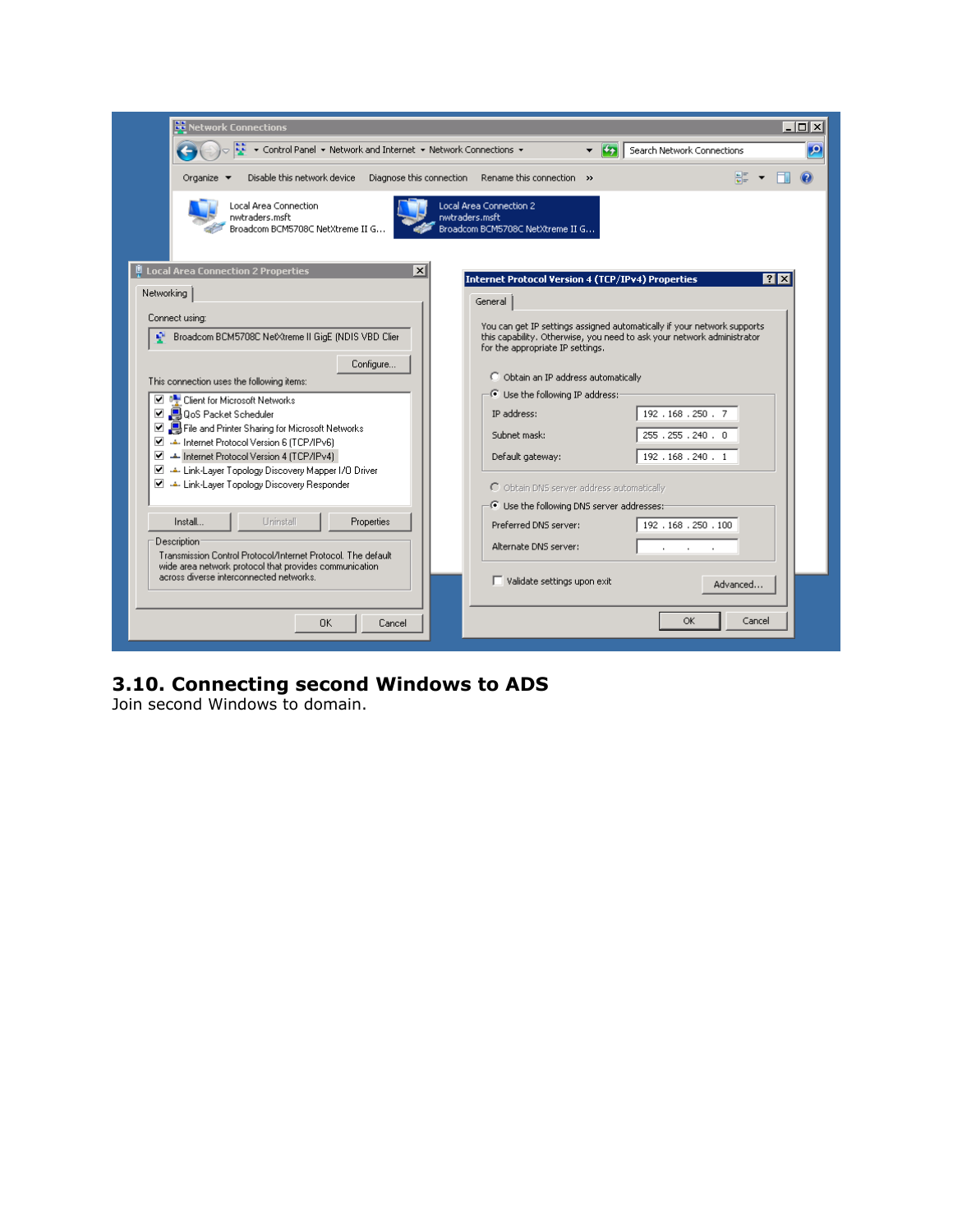| <b>BB</b> Network Connections                                                                                   | $\Box$                                                                                                                                                                                |
|-----------------------------------------------------------------------------------------------------------------|---------------------------------------------------------------------------------------------------------------------------------------------------------------------------------------|
| $\frac{1}{2}$ v Control Panel v Network and Internet v Network Connections v                                    | p<br>Search Network Connections<br>i Cap                                                                                                                                              |
| Disable this network device Diagnose this connection Rename this connection >><br>Organize $\blacktriangledown$ |                                                                                                                                                                                       |
| Local Area Connection<br>nwtraders.msft<br>Broadcom BCM5708C NetXtreme II G                                     | Local Area Connection 2<br>nwtraders.msft<br>Broadcom BCM5708C NetXtreme II G                                                                                                         |
| $\P$ Local Area Connection 2 Properties<br>$\vert x \vert$<br>Networking                                        | 7x<br><b>Internet Protocol Version 4 (TCP/IPv4) Properties</b><br>General                                                                                                             |
| Connect using:<br>Broadcom BCM5708C NetXtreme II GigE (NDIS VBD Clier                                           | You can get IP settings assigned automatically if your network supports<br>this capability. Otherwise, you need to ask your network administrator<br>for the appropriate IP settings. |
| Configure<br>This connection uses the following items:                                                          | C Obtain an IP address automatically                                                                                                                                                  |
| □ ■ Client for Microsoft Networks<br>■ ■ QoS Packet Scheduler                                                   | $-\bullet$ Use the following IP address:-<br>IP address:<br>192.168.250.7                                                                                                             |
| File and Printer Sharing for Microsoft Networks<br>■ ▲ Internet Protocol Version 6 (TCP/IPv6)                   | 255 . 255 . 240 . 0<br>Subnet mask:                                                                                                                                                   |
| ■ ▲ Internet Protocol Version 4 (TCP/IPv4)                                                                      | 192.168.240.1<br>Default gateway:                                                                                                                                                     |
| Link-Layer Topology Discovery Mapper I/O Driver<br>Letter Link-Layer Topology Discovery Responder               | O Obtain DNS server address automatically                                                                                                                                             |
|                                                                                                                 | $-\widehat{\mathbb{G}}$ Use the following DNS server addresses:                                                                                                                       |
| Install<br><b>Hoinstall</b><br>Properties                                                                       | Preferred DNS server:<br>192 . 168 . 250 . 100                                                                                                                                        |
| Description:<br>Transmission Control Protocol/Internet Protocol. The default                                    | Alternate DNS server:                                                                                                                                                                 |
| wide area network protocol that provides communication<br>across diverse interconnected networks.               | $\Box$ Validate settings upon exit<br>Advanced                                                                                                                                        |
| 0K<br>Cancel                                                                                                    | OK<br>Cancel                                                                                                                                                                          |

#### **3.10. Connecting second Windows to ADS**

Join second Windows to domain.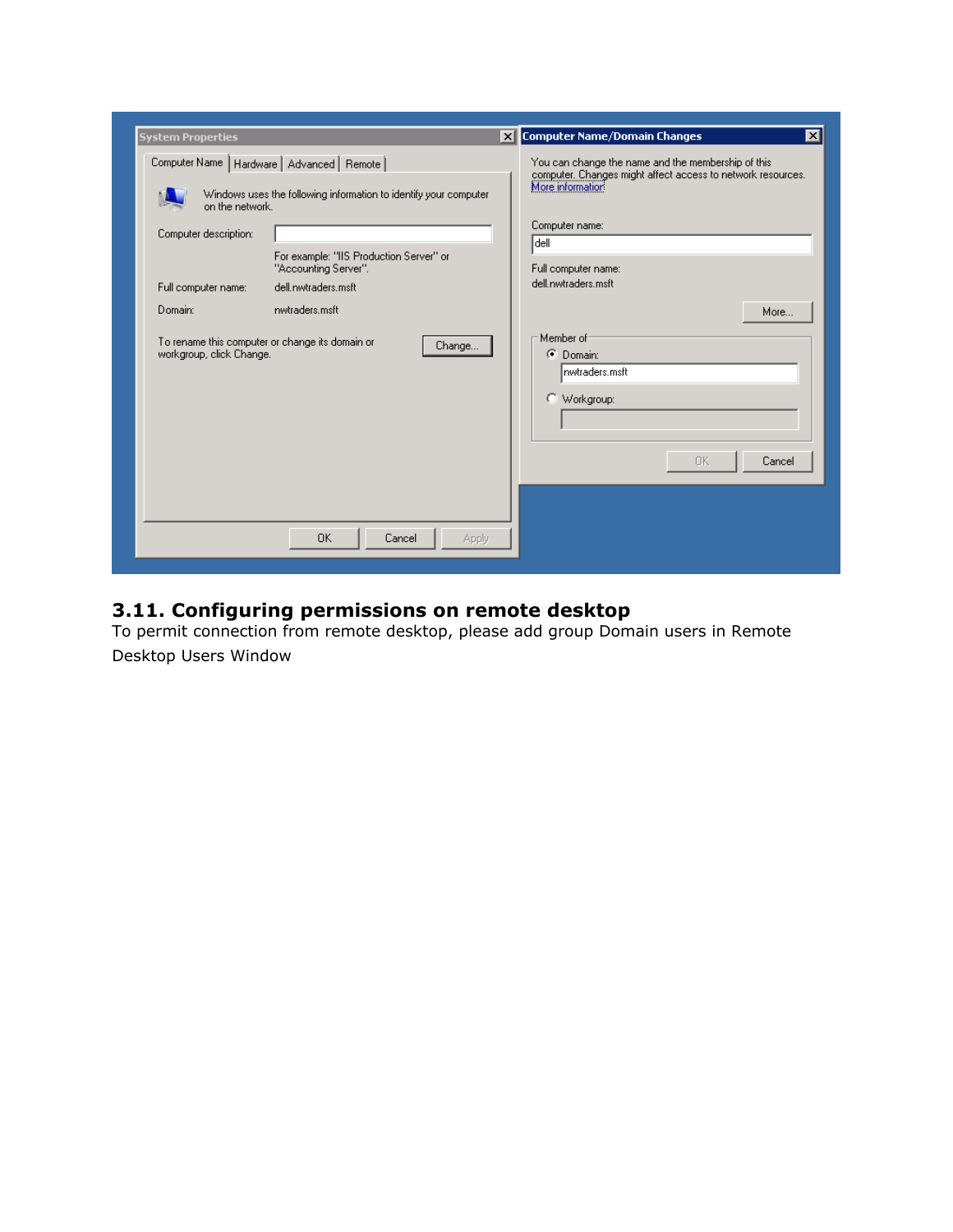| <b>System Properties</b>                                                    |                                                                                                                                                                                       | X Computer Name/Domain Changes<br>×l                                                                                                                                                    |
|-----------------------------------------------------------------------------|---------------------------------------------------------------------------------------------------------------------------------------------------------------------------------------|-----------------------------------------------------------------------------------------------------------------------------------------------------------------------------------------|
| on the network.<br>Computer description:                                    | Computer Name   Hardware   Advanced   Remote  <br>Windows uses the following information to identify your computer<br>For example: "IIS Production Server" or<br>"Accounting Server". | You can change the name and the membership of this<br>computer. Changes might affect access to network resources.<br>More information<br>Computer name:<br> dell<br>Full computer name: |
| Full computer name:                                                         | dell nwtraders msft.                                                                                                                                                                  | dell.nwtraders.msft                                                                                                                                                                     |
| Domain:                                                                     | nwtraders.msft                                                                                                                                                                        | More                                                                                                                                                                                    |
| To rename this computer or change its domain or<br>workgroup, click Change. | Change                                                                                                                                                                                | Member of<br>C Domain:<br>nwtraders.msft<br>C Workgroup:<br>0K<br>Cancel                                                                                                                |
|                                                                             |                                                                                                                                                                                       |                                                                                                                                                                                         |
|                                                                             | <b>OK</b><br>Cancel<br><b>Apply</b>                                                                                                                                                   |                                                                                                                                                                                         |

#### **3.11. Configuring permissions on remote desktop**

To permit connection from remote desktop, please add group Domain users in Remote Desktop Users Window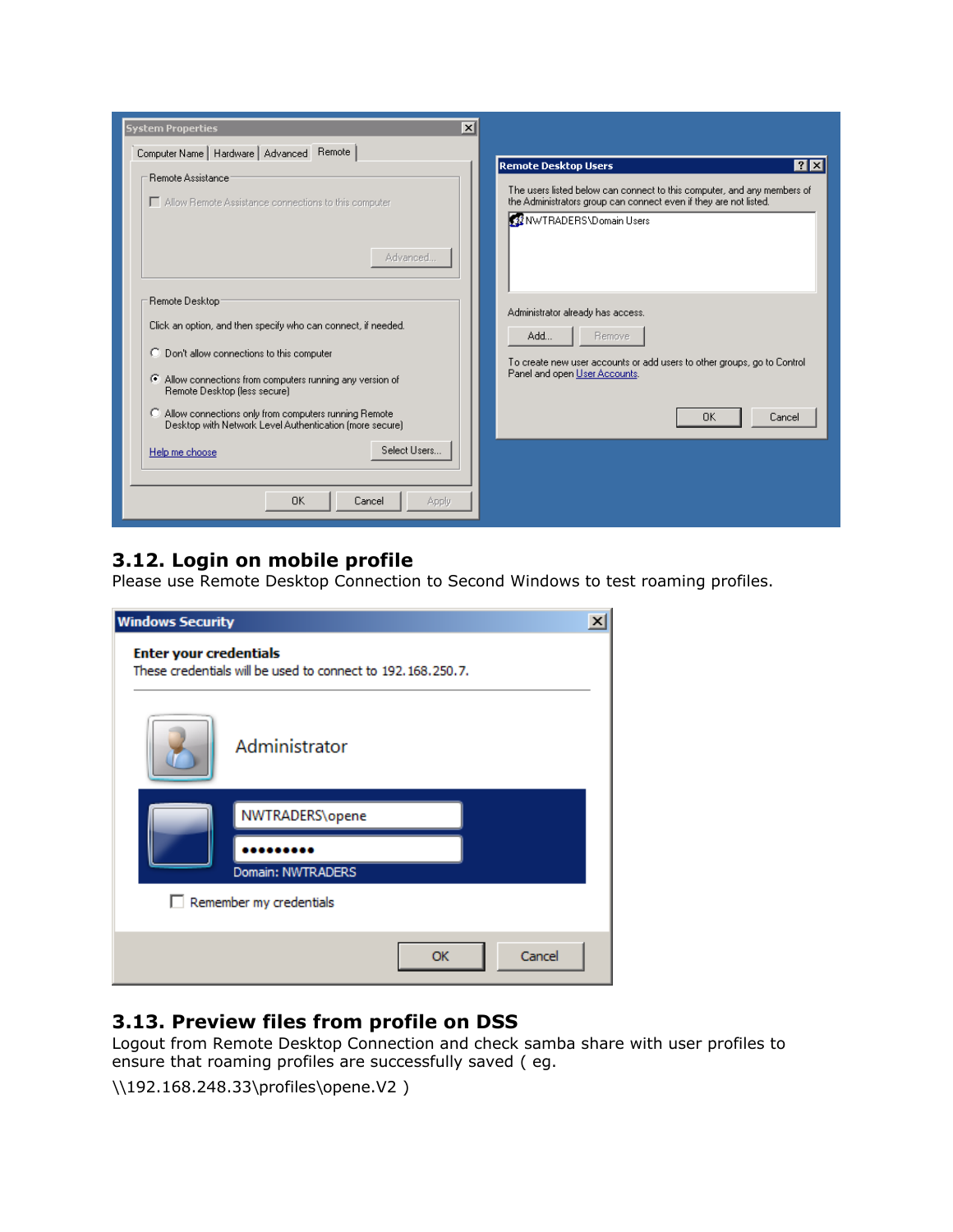| $\vert x \vert$<br><b>System Properties</b>                                                                                                                                                                                                                                                                                                              |                                                                                                                                                                                                                                 |
|----------------------------------------------------------------------------------------------------------------------------------------------------------------------------------------------------------------------------------------------------------------------------------------------------------------------------------------------------------|---------------------------------------------------------------------------------------------------------------------------------------------------------------------------------------------------------------------------------|
| Computer Name   Hardware   Advanced   Remote  <br>Remote Assistance:<br>Allow Remote Assistance connections to this computer                                                                                                                                                                                                                             | <b>Remote Desktop Users</b><br>$ ?  \times$<br>The users listed below can connect to this computer, and any members of<br>the Administrators group can connect even if they are not listed.<br><b>12 NWTRADERS\Domain Users</b> |
| Advanced<br>Remote Desktop:<br>Click an option, and then specify who can connect, if needed.<br>C Don't allow connections to this computer<br>Allow connections from computers running any version of<br>Remote Desktop (less secure)<br>Allow connections only from computers running Remote<br>Desktop with Network Level Authentication (more secure) | Administrator already has access.<br>Add<br>Remove<br>To create new user accounts or add users to other groups, go to Control<br>Panel and open User Accounts.<br>0K<br>Cancel                                                  |
| Select Users<br>Help me choose<br>OK.<br>Cancel<br>Apply                                                                                                                                                                                                                                                                                                 |                                                                                                                                                                                                                                 |

### **3.12. Login on mobile profile**

Please use Remote Desktop Connection to Second Windows to test roaming profiles.

| <b>Windows Security</b>                                                                         | $\vert x \vert$     |
|-------------------------------------------------------------------------------------------------|---------------------|
| <b>Enter your credentials</b><br>These credentials will be used to connect to 192, 168, 250, 7. |                     |
| Administrator                                                                                   |                     |
| NWTRADERS\opene<br>Domain: NWTRADERS                                                            |                     |
| Remember my credentials                                                                         |                     |
|                                                                                                 | Cancel<br><b>OK</b> |

#### **3.13. Preview files from profile on DSS**

Logout from Remote Desktop Connection and check samba share with user profiles to ensure that roaming profiles are successfully saved ( eg.

\\192.168.248.33\profiles\opene.V2 )